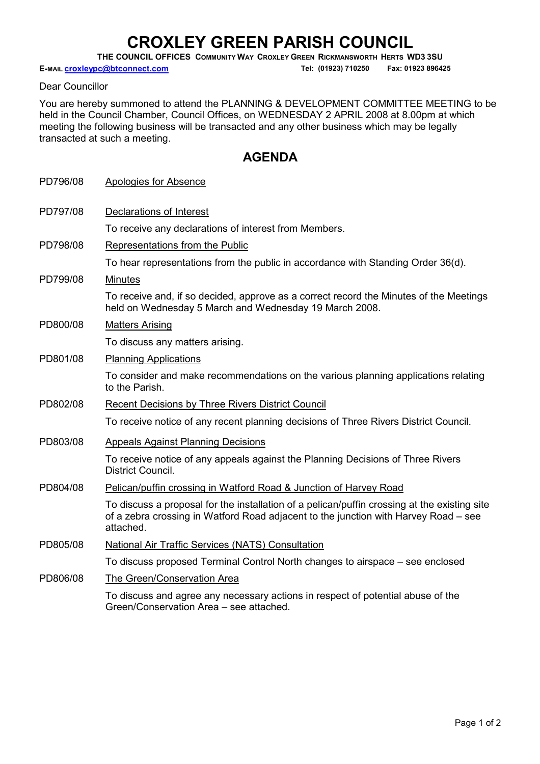## CROXLEY GREEN PARISH COUNCIL

THE COUNCIL OFFICES COMMUNITY WAY CROXLEY GREEN RICKMANSWORTH HERTS WD3 3SU

E-MAIL **croxleypc@btconnect.com** Tel: (01923) 710250 Fax: 01923 896425

Dear Councillor

You are hereby summoned to attend the PLANNING & DEVELOPMENT COMMITTEE MEETING to be held in the Council Chamber, Council Offices, on WEDNESDAY 2 APRIL 2008 at 8.00pm at which meeting the following business will be transacted and any other business which may be legally transacted at such a meeting.

## AGENDA

| PD796/08 | Apologies for Absence                                                                                                                                                                            |
|----------|--------------------------------------------------------------------------------------------------------------------------------------------------------------------------------------------------|
| PD797/08 | Declarations of Interest                                                                                                                                                                         |
|          | To receive any declarations of interest from Members.                                                                                                                                            |
| PD798/08 | Representations from the Public                                                                                                                                                                  |
|          | To hear representations from the public in accordance with Standing Order 36(d).                                                                                                                 |
| PD799/08 | <b>Minutes</b>                                                                                                                                                                                   |
|          | To receive and, if so decided, approve as a correct record the Minutes of the Meetings<br>held on Wednesday 5 March and Wednesday 19 March 2008.                                                 |
| PD800/08 | <b>Matters Arising</b>                                                                                                                                                                           |
|          | To discuss any matters arising.                                                                                                                                                                  |
| PD801/08 | <b>Planning Applications</b>                                                                                                                                                                     |
|          | To consider and make recommendations on the various planning applications relating<br>to the Parish.                                                                                             |
| PD802/08 | <b>Recent Decisions by Three Rivers District Council</b>                                                                                                                                         |
|          | To receive notice of any recent planning decisions of Three Rivers District Council.                                                                                                             |
| PD803/08 | <b>Appeals Against Planning Decisions</b>                                                                                                                                                        |
|          | To receive notice of any appeals against the Planning Decisions of Three Rivers<br>District Council.                                                                                             |
| PD804/08 | Pelican/puffin crossing in Watford Road & Junction of Harvey Road                                                                                                                                |
|          | To discuss a proposal for the installation of a pelican/puffin crossing at the existing site<br>of a zebra crossing in Watford Road adjacent to the junction with Harvey Road - see<br>attached. |
| PD805/08 | <b>National Air Traffic Services (NATS) Consultation</b>                                                                                                                                         |
|          | To discuss proposed Terminal Control North changes to airspace – see enclosed                                                                                                                    |
| PD806/08 | The Green/Conservation Area                                                                                                                                                                      |
|          | To discuss and agree any necessary actions in respect of potential abuse of the<br>Green/Conservation Area – see attached.                                                                       |